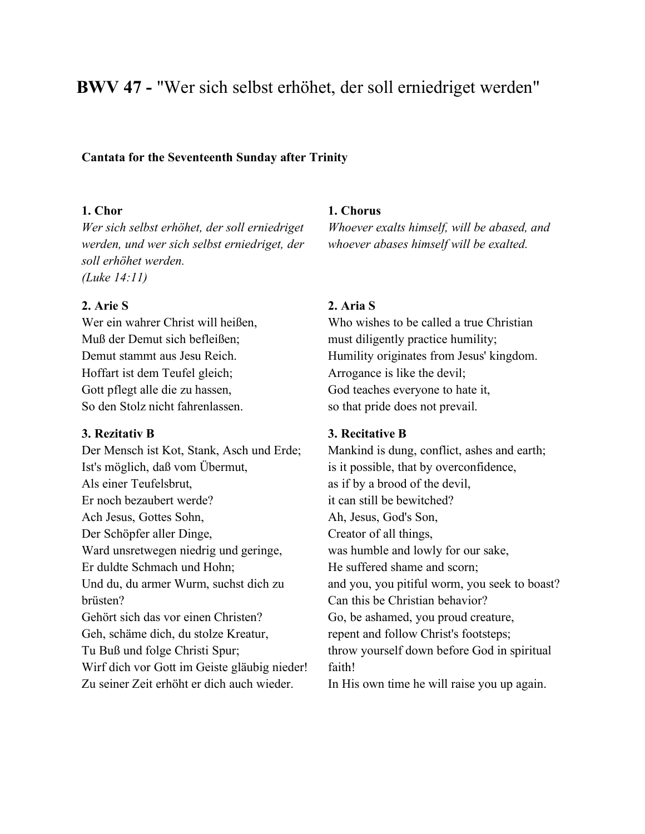# **BWV 47 -** "Wer sich selbst erhöhet, der soll erniedriget werden"

### **Cantata for the Seventeenth Sunday after Trinity**

## **1. Chor**

*Wer sich selbst erhöhet, der soll erniedriget werden, und wer sich selbst erniedriget, der soll erhöhet werden. (Luke 14:11)*

### **2. Arie S**

Wer ein wahrer Christ will heißen, Muß der Demut sich befleißen; Demut stammt aus Jesu Reich. Hoffart ist dem Teufel gleich; Gott pflegt alle die zu hassen, So den Stolz nicht fahrenlassen.

#### **3. Rezitativ B**

Der Mensch ist Kot, Stank, Asch und Erde; Ist's möglich, daß vom Übermut, Als einer Teufelsbrut, Er noch bezaubert werde? Ach Jesus, Gottes Sohn, Der Schöpfer aller Dinge, Ward unsretwegen niedrig und geringe, Er duldte Schmach und Hohn; Und du, du armer Wurm, suchst dich zu brüsten? Gehört sich das vor einen Christen? Geh, schäme dich, du stolze Kreatur, Tu Buß und folge Christi Spur; Wirf dich vor Gott im Geiste gläubig nieder! Zu seiner Zeit erhöht er dich auch wieder.

## **1. Chorus**

*Whoever exalts himself, will be abased, and whoever abases himself will be exalted.*

### **2. Aria S**

Who wishes to be called a true Christian must diligently practice humility; Humility originates from Jesus' kingdom. Arrogance is like the devil; God teaches everyone to hate it, so that pride does not prevail.

## **3. Recitative B**

Mankind is dung, conflict, ashes and earth; is it possible, that by overconfidence, as if by a brood of the devil, it can still be bewitched? Ah, Jesus, God's Son, Creator of all things, was humble and lowly for our sake, He suffered shame and scorn; and you, you pitiful worm, you seek to boast? Can this be Christian behavior? Go, be ashamed, you proud creature, repent and follow Christ's footsteps; throw yourself down before God in spiritual faith!

In His own time he will raise you up again.